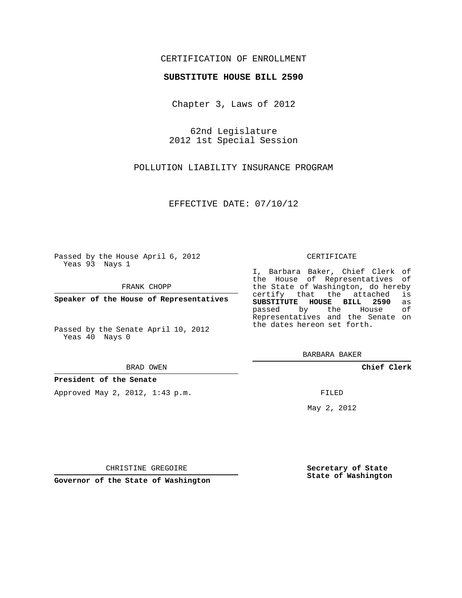## CERTIFICATION OF ENROLLMENT

## **SUBSTITUTE HOUSE BILL 2590**

Chapter 3, Laws of 2012

62nd Legislature 2012 1st Special Session

POLLUTION LIABILITY INSURANCE PROGRAM

EFFECTIVE DATE: 07/10/12

Passed by the House April 6, 2012 Yeas 93 Nays 1

FRANK CHOPP

**Speaker of the House of Representatives**

Passed by the Senate April 10, 2012 Yeas 40 Nays 0

#### BRAD OWEN

**President of the Senate**

Approved May 2, 2012, 1:43 p.m.

### CERTIFICATE

I, Barbara Baker, Chief Clerk of the House of Representatives of the State of Washington, do hereby<br>certify that the attached is certify that the attached **SUBSTITUTE HOUSE BILL 2590** as passed by the House Representatives and the Senate on the dates hereon set forth.

BARBARA BAKER

**Chief Clerk**

FILED

May 2, 2012

**Secretary of State State of Washington**

CHRISTINE GREGOIRE

**Governor of the State of Washington**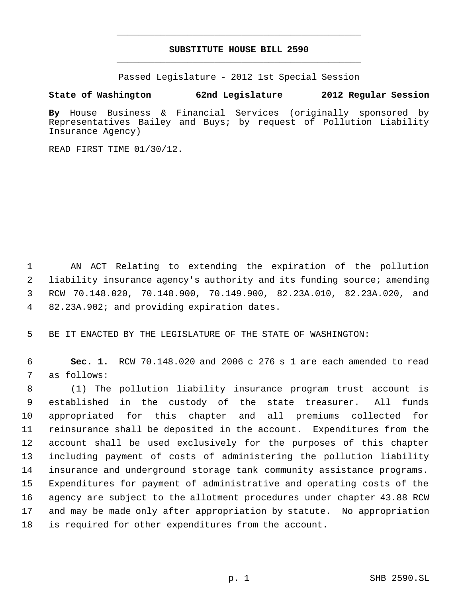# **SUBSTITUTE HOUSE BILL 2590** \_\_\_\_\_\_\_\_\_\_\_\_\_\_\_\_\_\_\_\_\_\_\_\_\_\_\_\_\_\_\_\_\_\_\_\_\_\_\_\_\_\_\_\_\_

\_\_\_\_\_\_\_\_\_\_\_\_\_\_\_\_\_\_\_\_\_\_\_\_\_\_\_\_\_\_\_\_\_\_\_\_\_\_\_\_\_\_\_\_\_

Passed Legislature - 2012 1st Special Session

**State of Washington 62nd Legislature 2012 Regular Session**

**By** House Business & Financial Services (originally sponsored by Representatives Bailey and Buys; by request of Pollution Liability Insurance Agency)

READ FIRST TIME 01/30/12.

 AN ACT Relating to extending the expiration of the pollution liability insurance agency's authority and its funding source; amending RCW 70.148.020, 70.148.900, 70.149.900, 82.23A.010, 82.23A.020, and 82.23A.902; and providing expiration dates.

BE IT ENACTED BY THE LEGISLATURE OF THE STATE OF WASHINGTON:

 **Sec. 1.** RCW 70.148.020 and 2006 c 276 s 1 are each amended to read as follows:

 (1) The pollution liability insurance program trust account is established in the custody of the state treasurer. All funds appropriated for this chapter and all premiums collected for reinsurance shall be deposited in the account. Expenditures from the account shall be used exclusively for the purposes of this chapter including payment of costs of administering the pollution liability insurance and underground storage tank community assistance programs. Expenditures for payment of administrative and operating costs of the agency are subject to the allotment procedures under chapter 43.88 RCW and may be made only after appropriation by statute. No appropriation is required for other expenditures from the account.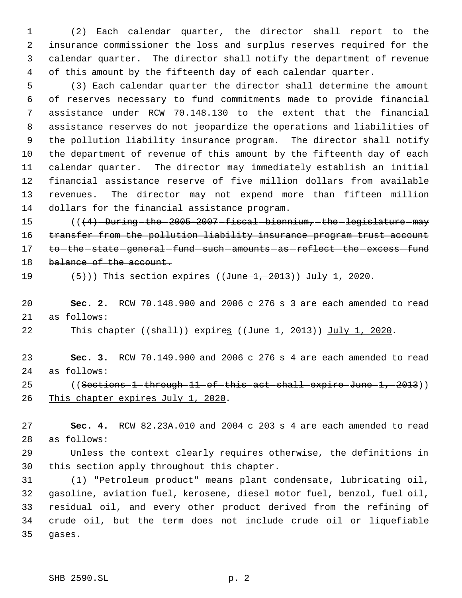(2) Each calendar quarter, the director shall report to the insurance commissioner the loss and surplus reserves required for the calendar quarter. The director shall notify the department of revenue of this amount by the fifteenth day of each calendar quarter.

 (3) Each calendar quarter the director shall determine the amount of reserves necessary to fund commitments made to provide financial assistance under RCW 70.148.130 to the extent that the financial assistance reserves do not jeopardize the operations and liabilities of the pollution liability insurance program. The director shall notify the department of revenue of this amount by the fifteenth day of each calendar quarter. The director may immediately establish an initial financial assistance reserve of five million dollars from available revenues. The director may not expend more than fifteen million dollars for the financial assistance program.

15 (((4) -During the 2005-2007 fiscal biennium, the legislature may 16 transfer from the pollution liability insurance program trust account 17 to -the state general fund such amounts as reflect the excess fund 18 balance of the account.

 $(5)$ )) This section expires ((June 1, 2013)) July 1, 2020.

 **Sec. 2.** RCW 70.148.900 and 2006 c 276 s 3 are each amended to read as follows:

22 This chapter ((<del>shall</del>)) expire<u>s</u> ((<del>June 1, 2013</del>)) July 1, 2020.

 **Sec. 3.** RCW 70.149.900 and 2006 c 276 s 4 are each amended to read as follows:

25 ((Sections 1 through 11 of this act shall expire June 1, 2013)) 26 This chapter expires July 1, 2020.

 **Sec. 4.** RCW 82.23A.010 and 2004 c 203 s 4 are each amended to read as follows:

 Unless the context clearly requires otherwise, the definitions in this section apply throughout this chapter.

 (1) "Petroleum product" means plant condensate, lubricating oil, gasoline, aviation fuel, kerosene, diesel motor fuel, benzol, fuel oil, residual oil, and every other product derived from the refining of crude oil, but the term does not include crude oil or liquefiable gases.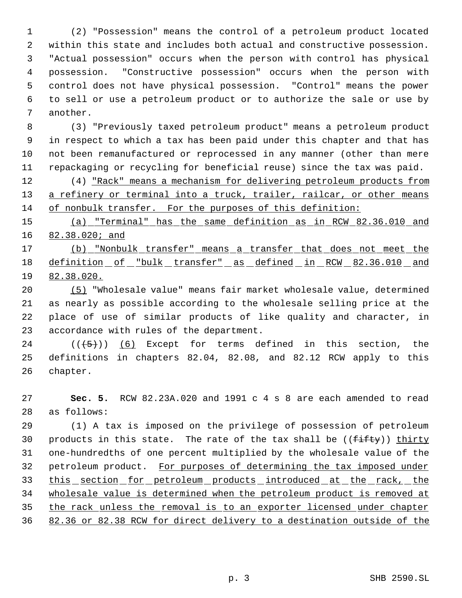(2) "Possession" means the control of a petroleum product located within this state and includes both actual and constructive possession. "Actual possession" occurs when the person with control has physical possession. "Constructive possession" occurs when the person with control does not have physical possession. "Control" means the power to sell or use a petroleum product or to authorize the sale or use by another.

 (3) "Previously taxed petroleum product" means a petroleum product in respect to which a tax has been paid under this chapter and that has not been remanufactured or reprocessed in any manner (other than mere repackaging or recycling for beneficial reuse) since the tax was paid.

 (4) "Rack" means a mechanism for delivering petroleum products from 13 a refinery or terminal into a truck, trailer, railcar, or other means of nonbulk transfer. For the purposes of this definition:

 (a) "Terminal" has the same definition as in RCW 82.36.010 and 16 82.38.020; and

 (b) "Nonbulk transfer" means a transfer that does not meet the 18 definition of "bulk transfer" as defined in RCW 82.36.010 and 82.38.020.

 (5) "Wholesale value" means fair market wholesale value, determined as nearly as possible according to the wholesale selling price at the place of use of similar products of like quality and character, in accordance with rules of the department.

24 ( $(\overline{5})$ ) (6) Except for terms defined in this section, the definitions in chapters 82.04, 82.08, and 82.12 RCW apply to this chapter.

 **Sec. 5.** RCW 82.23A.020 and 1991 c 4 s 8 are each amended to read as follows:

 (1) A tax is imposed on the privilege of possession of petroleum 30 products in this state. The rate of the tax shall be  $((f\text{-}if\text{t}y))$  thirty one-hundredths of one percent multiplied by the wholesale value of the 32 petroleum product. For purposes of determining the tax imposed under 33 this section for petroleum products introduced at the rack, the wholesale value is determined when the petroleum product is removed at the rack unless the removal is to an exporter licensed under chapter 82.36 or 82.38 RCW for direct delivery to a destination outside of the